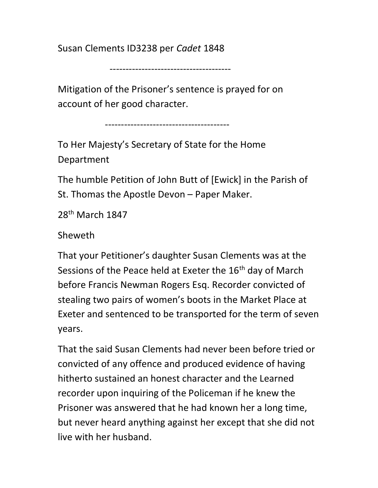Susan Clements ID3238 per Cadet 1848

--------------------------------------

Mitigation of the Prisoner's sentence is prayed for on account of her good character.

---------------------------------------

To Her Majesty's Secretary of State for the Home Department

The humble Petition of John Butt of [Ewick] in the Parish of St. Thomas the Apostle Devon – Paper Maker.

28th March 1847

Sheweth

That your Petitioner's daughter Susan Clements was at the Sessions of the Peace held at Exeter the 16<sup>th</sup> day of March before Francis Newman Rogers Esq. Recorder convicted of stealing two pairs of women's boots in the Market Place at Exeter and sentenced to be transported for the term of seven years.

That the said Susan Clements had never been before tried or convicted of any offence and produced evidence of having hitherto sustained an honest character and the Learned recorder upon inquiring of the Policeman if he knew the Prisoner was answered that he had known her a long time, but never heard anything against her except that she did not live with her husband.